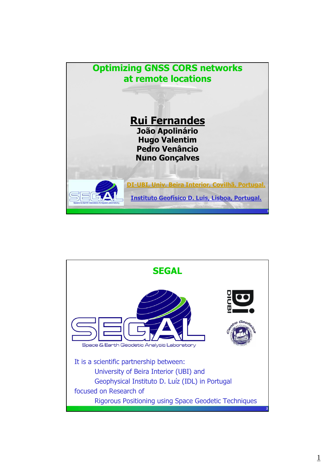

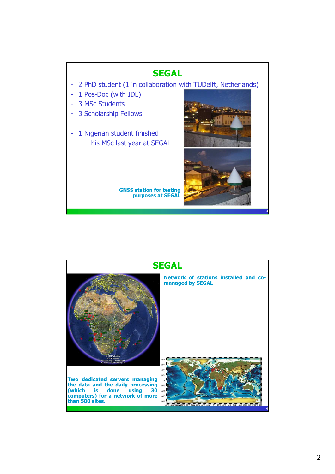

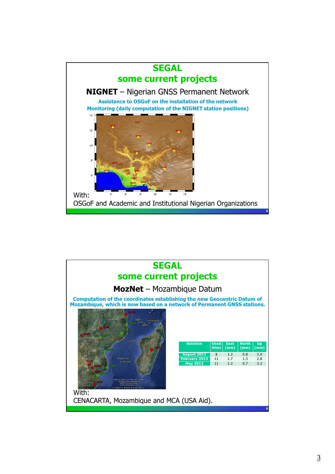

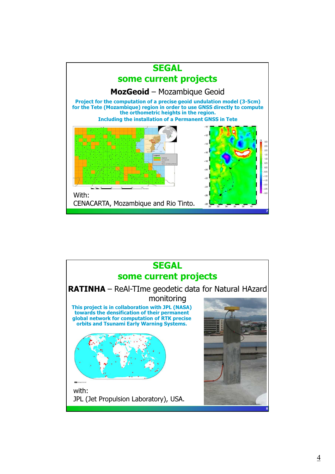

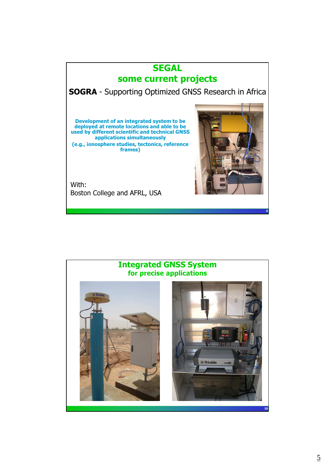## **SEGAL** some current projects

SOGRA - Supporting Optimized GNSS Research in Africa

Development of an integrated system to be deployed at remote locations and able to be used by different scientific and technical GNSS applications simultaneously (e.g., ionosphere studies, tectonics, reference frames)

With: Boston College and AFRL, USA



9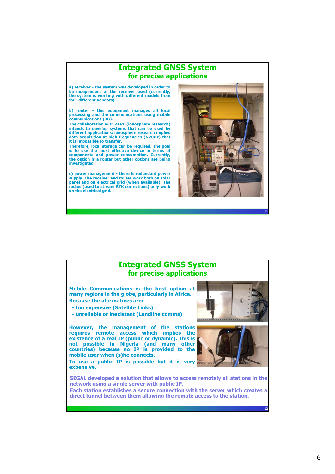## Integrated GNSS System for precise applications a) receiver - the system was developed in order to be independent of the receiver used (currently, the system is working with different models from four different vendors). b) router - this equipment manages all local processing and the communications using mobile communications (3G). The collaboration with AFRL (ionosphere research) intends to develop systems that can be used by different applications: ionosphere research implies data acquisition at high frequencies (>20Hz) that it is impossible to transfer. Therefore, local storage can be required. The goal is to use the most effective device in terms of components and power consumption. Currently, the option is a router but other options are being investigated. c) power management - there is redundant power supply. The receiver and router work both on solar panel and on electrical grid (when available). The radios (used to stream RTK corrections) only work on the electrical grid.

## Integrated GNSS System for precise applications

Mobile Communications is the best option at many regions in the globe, particularly in Africa. Because the alternatives are:

- too expensive (Satellite Links)
- unreliable or inexistent (Landline comms)

However, the management of the stations requires remote access which implies the existence of a real IP (public or dynamic). This is not possible in Nigeria (and many other countries) because no IP is provided to the mobile user when (s)he connects.

To use a public IP is possible but it is very expensive.



11

12



SEGAL developed a solution that allows to access remotely all stations in the network using a single server with public IP.

Each station establishes a secure connection with the server which creates a direct tunnel between them allowing the remote access to the station.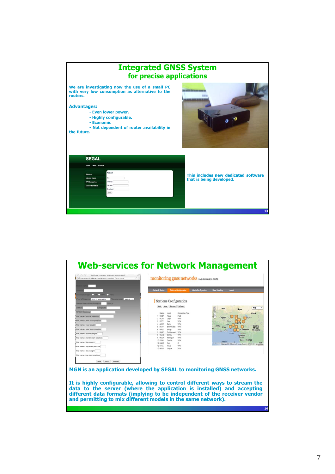| <b>Integrated GNSS System</b><br>for precise applications                                                                                                                                                                                                      |                                                                        |  |
|----------------------------------------------------------------------------------------------------------------------------------------------------------------------------------------------------------------------------------------------------------------|------------------------------------------------------------------------|--|
| We are investigating now the use of a small PC<br>with very low consumption as alternative to the<br>routers.<br><b>Advantages:</b><br>- Even lower power.<br>- Highly configurable.<br>- Economic<br>- Not dependent of router availability in<br>the future. |                                                                        |  |
| <b>SEGAL</b><br>Contact<br><b>Network</b><br>ie:T<br><b>Internet Status</b><br>Gateway.<br><b>VPN Conections</b><br>Mehrusak<br><b>Connection Stats</b><br>Broadcast<br><b>truise</b>                                                                          | This includes new dedicated software<br>that is being developed.<br>13 |  |

| ell geodac.di.ubi.pt/MGN/add_station_form.html                                                                                                                                                                                                                                                                                                                                                                                                                                                                                 | monitoring gnss networks w.o developed by SEGAL<br><b>Network Status</b><br><b>Alerts Configuration</b><br><b>Stations Configuration</b>                                                                                                                                                                                                                                                                                                                                                     | Logout<br><b>Data Handling</b>                                                                                                                                                                                                                                                       |
|--------------------------------------------------------------------------------------------------------------------------------------------------------------------------------------------------------------------------------------------------------------------------------------------------------------------------------------------------------------------------------------------------------------------------------------------------------------------------------------------------------------------------------|----------------------------------------------------------------------------------------------------------------------------------------------------------------------------------------------------------------------------------------------------------------------------------------------------------------------------------------------------------------------------------------------------------------------------------------------------------------------------------------------|--------------------------------------------------------------------------------------------------------------------------------------------------------------------------------------------------------------------------------------------------------------------------------------|
| ways notton<br><b>COMPANY</b><br><b>O VIN</b><br>n<br>$\lim$ externalized $11D.Z$ :<br>Only if applyable<br>Sonnection - offene time timit<br><b>SOUTIST</b><br>estitute<br>Longitude<br><b>RINEX Directory</b><br>Tile name: unique identifier<br>Yile name: date start position<br>File name: year lenght<br>File name: year start position<br>File name: month lenght<br>File name: month start position<br>File name: day lenght<br>File name: day start position<br>File name: doy lenght<br>File name:doy start position | <b>Stations Configuration</b><br>Add View Remove Refresh<br>Station<br>Local<br>Connection Type<br>1 OSGF<br>Abula<br>FILE<br>2 ULAG<br>VPN<br>Lagos<br>3 FUTY<br>VPN<br>Yola<br>$4$ ABUZ<br>Zaria<br>VPN<br>5 BKFP<br>Bimin Kabbi<br>VPN<br>6 UNEC<br>VPN<br>Enugu<br>7 RUST<br>Port Harcourt VPN<br><b>B</b> GEMB<br>Gembu<br>VPN<br>9 MDGR<br>Maiduguri<br>VPN<br>10 CLBR<br>Calabar<br>VPN<br>ip<br>11 CGGT<br>Toro<br>12 FUTA<br>Akure<br>VPN<br>13 HLIKP<br><b>Umw.k</b><br><b>VPN</b> | Map<br>Mali<br>Niger<br>Chad<br>Burkina<br>Fase<br>Central<br>d'Ivoire Ghana<br><b>African</b><br>Cameroon<br>Republic<br>Abdun ACOB<br>Yacund<br>Equatorial<br>ina)<br>Gabon Congo<br><b>County 1,1000 km</b><br>Maticlede 02013 Beaumoit, Coogle, MapLink, ORION-ME - Terres of L. |
| Add<br>Reset Cancel<br>MGN is an application developed by SEGAL to monitoring GNSS networks.<br>It is highly configurable, allowing to control different ways to stream the<br>data to the server (where the application is installed) and accepting<br>different data formats (implying to be independent of the receiver vendor<br>and permitting to mix different models in the same network).                                                                                                                              |                                                                                                                                                                                                                                                                                                                                                                                                                                                                                              |                                                                                                                                                                                                                                                                                      |